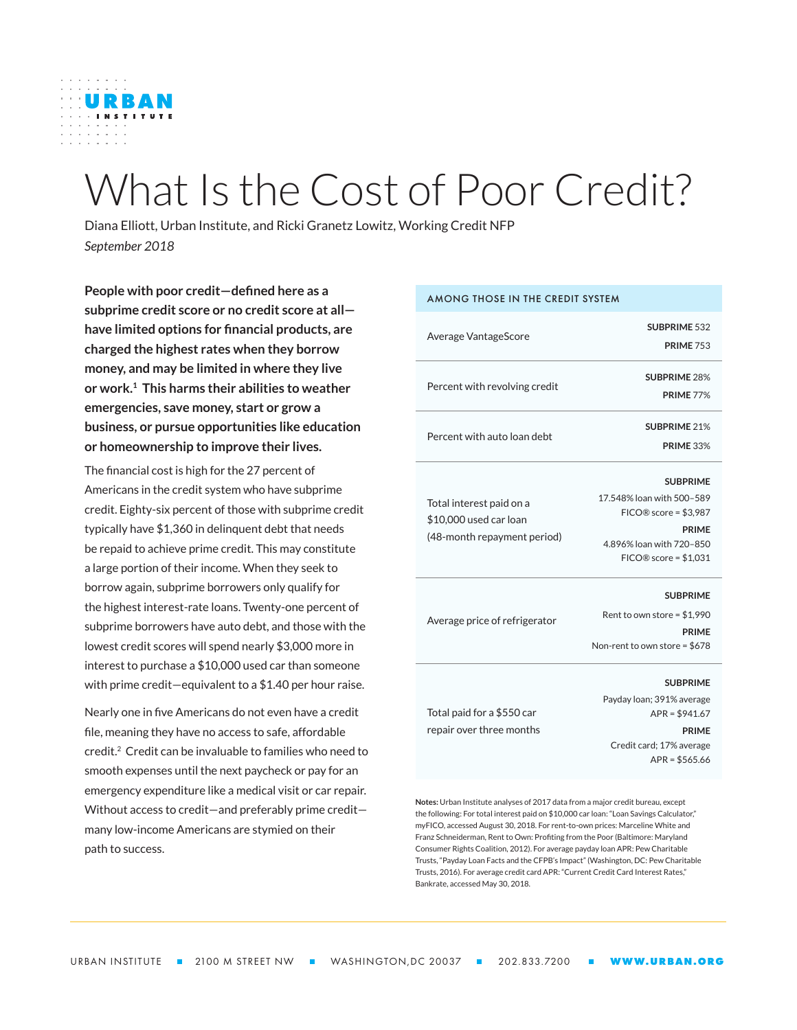

# What Is the Cost of Poor Credit?

Diana Elliott, Urban Institute, and Ricki Granetz Lowitz, Working Credit NFP *September 2018*

**People with poor credit—defined here as a subprime credit score or no credit score at all have limited options for financial products, are charged the highest rates when they borrow money, and may be limited in where they live or work.1 This harms their abilities to weather emergencies, save money, start or grow a business, or pursue opportunities like education or homeownership to improve their lives.** 

The financial cost is high for the 27 percent of Americans in the credit system who have subprime credit. Eighty-six percent of those with subprime credit typically have \$1,360 in delinquent debt that needs be repaid to achieve prime credit. This may constitute a large portion of their income. When they seek to borrow again, subprime borrowers only qualify for the highest interest-rate loans. Twenty-one percent of subprime borrowers have auto debt, and those with the lowest credit scores will spend nearly \$3,000 more in interest to purchase a \$10,000 used car than someone with prime credit—equivalent to a \$1.40 per hour raise.

Nearly one in five Americans do not even have a credit file, meaning they have no access to safe, affordable credit.<sup>2</sup> Credit can be invaluable to families who need to smooth expenses until the next paycheck or pay for an emergency expenditure like a medical visit or car repair. Without access to credit—and preferably prime credit many low-income Americans are stymied on their path to success.

#### AMONG THOSE IN THE CREDIT SYSTEM Average VantageScore **SUBPRIME** 532 **PRIME** 753 Percent with revolving credit **SUBPRIME** 28% **PRIME** 77% Percent with auto loan debt **SUBPRIME** 21% **PRIME** 33% Total interest paid on a \$10,000 used car loan (48-month repayment period) **SUBPRIME** 17.548% loan with 500–589 FICO® score = \$3,987 **PRIME** 4.896% loan with 720–850 FICO® score = \$1,031 Average price of refrigerator **SUBPRIME** Rent to own store = \$1,990 **PRIME** Non-rent to own store = \$678 Total paid for a \$550 car repair over three months **SUBPRIME** Payday loan; 391% average APR = \$941.67 **PRIME** Credit card; 17% average APR = \$565.66 **Notes:** Urban Institute analyses of 2017 data from a major credit bureau, except

the following: For total interest paid on \$10,000 car loan: "Loan Savings Calculator," myFICO, accessed August 30, 2018. For rent-to-own prices: Marceline White and Franz Schneiderman, Rent to Own: Profiting from the Poor (Baltimore: Maryland Consumer Rights Coalition, 2012). For average payday loan APR: Pew Charitable Trusts, "Payday Loan Facts and the CFPB's Impact" (Washington, DC: Pew Charitable Trusts, 2016). For average credit card APR: "Current Credit Card Interest Rates," Bankrate, accessed May 30, 2018.

URBAN INSTITUTE **= 2100 M STREET NW = WASHINGTON,DC 20037 = 202.833.7200 = WWW.URBAN.ORG**